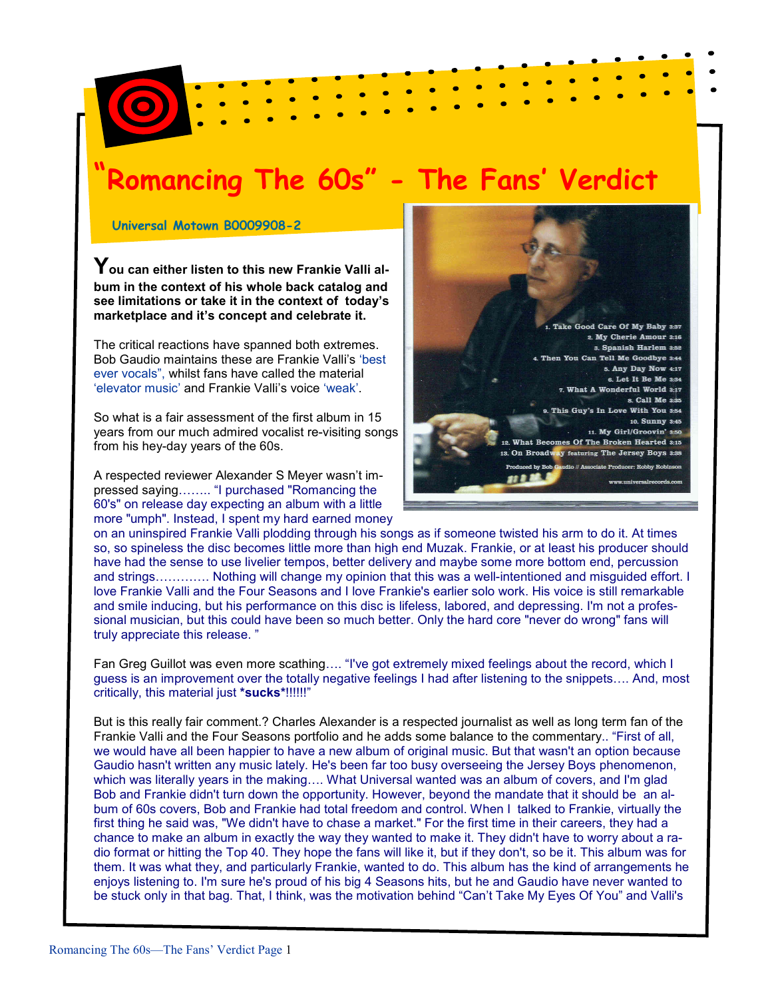## omancing The 60s" - The Fans' Verdict

Universal Motown B0009908-2

You can either listen to this new Frankie Valli album in the context of his whole back catalog and see limitations or take it in the context of today's marketplace and it's concept and celebrate it.

The critical reactions have spanned both extremes. Bob Gaudio maintains these are Frankie Valli's 'best ever vocals", whilst fans have called the material 'elevator music' and Frankie Valli's voice 'weak'.

So what is a fair assessment of the first album in 15 years from our much admired vocalist re-visiting songs from his hey-day years of the 60s.

A respected reviewer Alexander S Meyer wasn't impressed saying…….. "I purchased "Romancing the 60's" on release day expecting an album with a little more "umph". Instead, I spent my hard earned money



on an uninspired Frankie Valli plodding through his songs as if someone twisted his arm to do it. At times so, so spineless the disc becomes little more than high end Muzak. Frankie, or at least his producer should have had the sense to use livelier tempos, better delivery and maybe some more bottom end, percussion and strings…………. Nothing will change my opinion that this was a well-intentioned and misguided effort. I love Frankie Valli and the Four Seasons and I love Frankie's earlier solo work. His voice is still remarkable and smile inducing, but his performance on this disc is lifeless, labored, and depressing. I'm not a professional musician, but this could have been so much better. Only the hard core "never do wrong" fans will truly appreciate this release. "

Fan Greg Guillot was even more scathing…. "I've got extremely mixed feelings about the record, which I guess is an improvement over the totally negative feelings I had after listening to the snippets…. And, most critically, this material just \*sucks\*!!!!!!!"

But is this really fair comment.? Charles Alexander is a respected journalist as well as long term fan of the Frankie Valli and the Four Seasons portfolio and he adds some balance to the commentary.. "First of all, we would have all been happier to have a new album of original music. But that wasn't an option because Gaudio hasn't written any music lately. He's been far too busy overseeing the Jersey Boys phenomenon, which was literally years in the making…. What Universal wanted was an album of covers, and I'm glad Bob and Frankie didn't turn down the opportunity. However, beyond the mandate that it should be an album of 60s covers, Bob and Frankie had total freedom and control. When I talked to Frankie, virtually the first thing he said was, "We didn't have to chase a market." For the first time in their careers, they had a chance to make an album in exactly the way they wanted to make it. They didn't have to worry about a radio format or hitting the Top 40. They hope the fans will like it, but if they don't, so be it. This album was for them. It was what they, and particularly Frankie, wanted to do. This album has the kind of arrangements he enjoys listening to. I'm sure he's proud of his big 4 Seasons hits, but he and Gaudio have never wanted to be stuck only in that bag. That, I think, was the motivation behind "Can't Take My Eyes Of You" and Valli's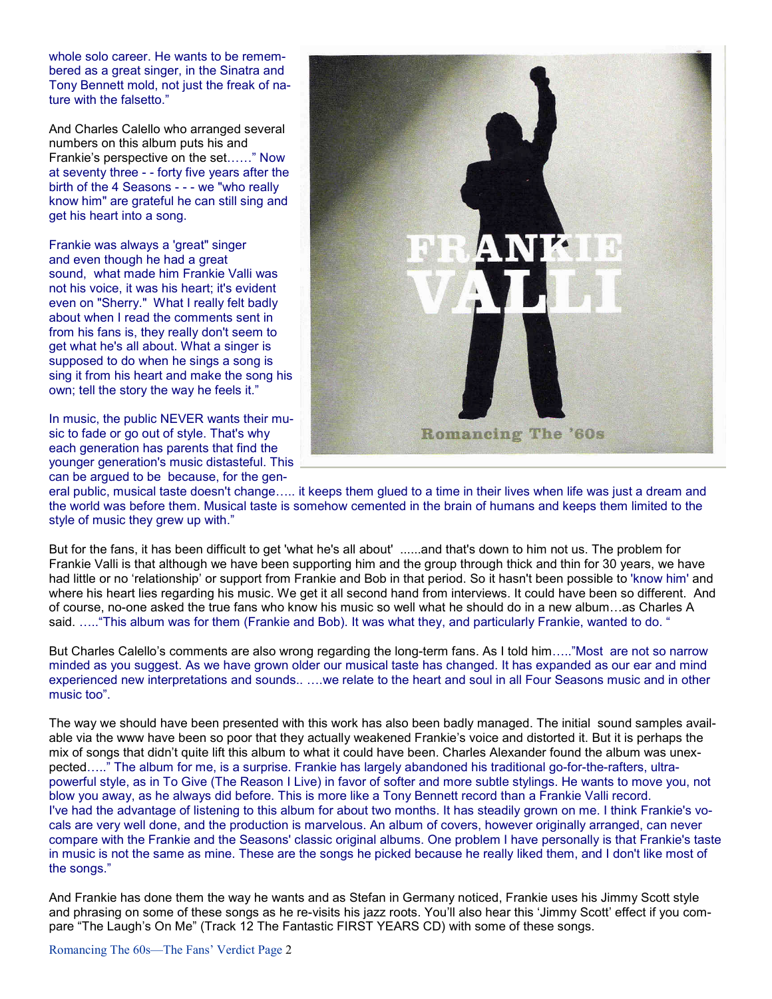whole solo career. He wants to be remembered as a great singer, in the Sinatra and Tony Bennett mold, not just the freak of nature with the falsetto."

And Charles Calello who arranged several numbers on this album puts his and Frankie's perspective on the set……" Now at seventy three - - forty five years after the birth of the 4 Seasons - - - we "who really know him" are grateful he can still sing and get his heart into a song.

Frankie was always a 'great" singer and even though he had a great sound, what made him Frankie Valli was not his voice, it was his heart; it's evident even on "Sherry." What I really felt badly about when I read the comments sent in from his fans is, they really don't seem to get what he's all about. What a singer is supposed to do when he sings a song is sing it from his heart and make the song his own; tell the story the way he feels it."

In music, the public NEVER wants their music to fade or go out of style. That's why each generation has parents that find the younger generation's music distasteful. This can be argued to be because, for the gen-



eral public, musical taste doesn't change….. it keeps them glued to a time in their lives when life was just a dream and the world was before them. Musical taste is somehow cemented in the brain of humans and keeps them limited to the style of music they grew up with."

But for the fans, it has been difficult to get 'what he's all about' ......and that's down to him not us. The problem for Frankie Valli is that although we have been supporting him and the group through thick and thin for 30 years, we have had little or no 'relationship' or support from Frankie and Bob in that period. So it hasn't been possible to 'know him' and where his heart lies regarding his music. We get it all second hand from interviews. It could have been so different. And of course, no-one asked the true fans who know his music so well what he should do in a new album…as Charles A said. ….."This album was for them (Frankie and Bob). It was what they, and particularly Frankie, wanted to do. "

But Charles Calello's comments are also wrong regarding the long-term fans. As I told him….."Most are not so narrow minded as you suggest. As we have grown older our musical taste has changed. It has expanded as our ear and mind experienced new interpretations and sounds.. ….we relate to the heart and soul in all Four Seasons music and in other music too".

The way we should have been presented with this work has also been badly managed. The initial sound samples available via the www have been so poor that they actually weakened Frankie's voice and distorted it. But it is perhaps the mix of songs that didn't quite lift this album to what it could have been. Charles Alexander found the album was unexpected….." The album for me, is a surprise. Frankie has largely abandoned his traditional go-for-the-rafters, ultrapowerful style, as in To Give (The Reason I Live) in favor of softer and more subtle stylings. He wants to move you, not blow you away, as he always did before. This is more like a Tony Bennett record than a Frankie Valli record. I've had the advantage of listening to this album for about two months. It has steadily grown on me. I think Frankie's vocals are very well done, and the production is marvelous. An album of covers, however originally arranged, can never compare with the Frankie and the Seasons' classic original albums. One problem I have personally is that Frankie's taste in music is not the same as mine. These are the songs he picked because he really liked them, and I don't like most of the songs."

And Frankie has done them the way he wants and as Stefan in Germany noticed, Frankie uses his Jimmy Scott style and phrasing on some of these songs as he re-visits his jazz roots. You'll also hear this 'Jimmy Scott' effect if you compare "The Laugh's On Me" (Track 12 The Fantastic FIRST YEARS CD) with some of these songs.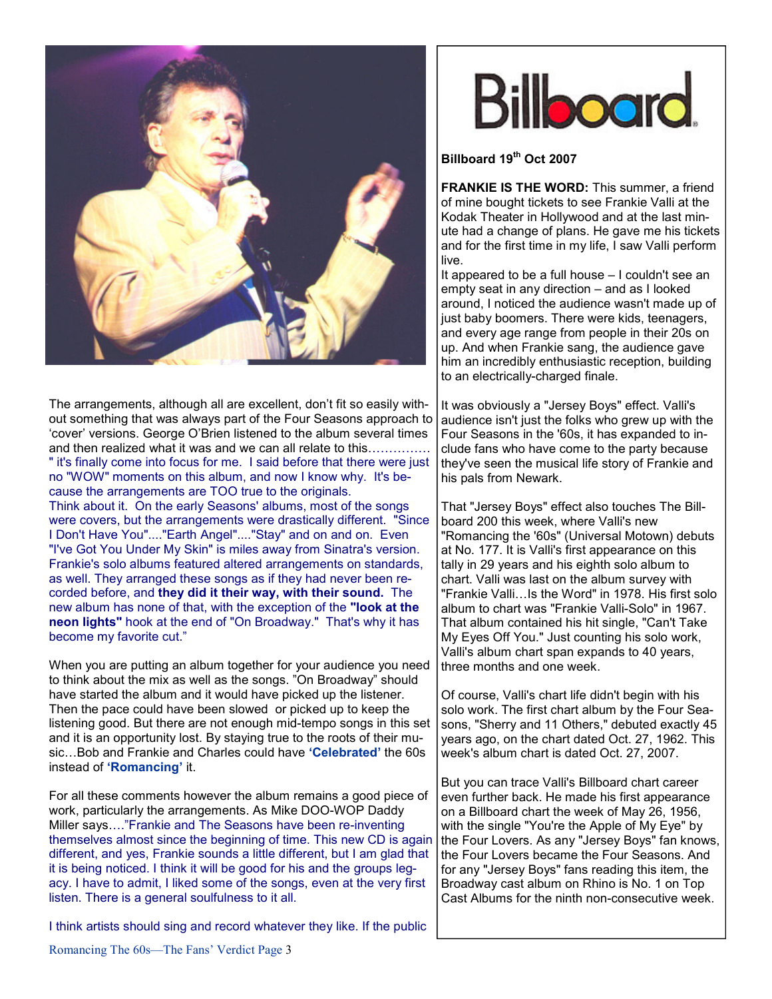

The arrangements, although all are excellent, don't fit so easily without something that was always part of the Four Seasons approach to 'cover' versions. George O'Brien listened to the album several times and then realized what it was and we can all relate to this…………… " it's finally come into focus for me. I said before that there were just no "WOW" moments on this album, and now I know why. It's because the arrangements are TOO true to the originals.

Think about it. On the early Seasons' albums, most of the songs were covers, but the arrangements were drastically different. "Since I Don't Have You"...."Earth Angel"...."Stay" and on and on. Even "I've Got You Under My Skin" is miles away from Sinatra's version. Frankie's solo albums featured altered arrangements on standards, as well. They arranged these songs as if they had never been recorded before, and they did it their way, with their sound. The new album has none of that, with the exception of the "look at the neon lights" hook at the end of "On Broadway." That's why it has become my favorite cut."

When you are putting an album together for your audience you need to think about the mix as well as the songs. "On Broadway" should have started the album and it would have picked up the listener. Then the pace could have been slowed or picked up to keep the listening good. But there are not enough mid-tempo songs in this set and it is an opportunity lost. By staying true to the roots of their music...Bob and Frankie and Charles could have 'Celebrated' the 60s instead of 'Romancing' it.

For all these comments however the album remains a good piece of work, particularly the arrangements. As Mike DOO-WOP Daddy Miller says…."Frankie and The Seasons have been re-inventing themselves almost since the beginning of time. This new CD is again different, and yes, Frankie sounds a little different, but I am glad that it is being noticed. I think it will be good for his and the groups legacy. I have to admit, I liked some of the songs, even at the very first listen. There is a general soulfulness to it all.

I think artists should sing and record whatever they like. If the public



## Billboard 19<sup>th</sup> Oct 2007

**FRANKIE IS THE WORD:** This summer, a friend of mine bought tickets to see Frankie Valli at the Kodak Theater in Hollywood and at the last minute had a change of plans. He gave me his tickets and for the first time in my life, I saw Valli perform live.

It appeared to be a full house – I couldn't see an empty seat in any direction – and as I looked around, I noticed the audience wasn't made up of just baby boomers. There were kids, teenagers, and every age range from people in their 20s on up. And when Frankie sang, the audience gave him an incredibly enthusiastic reception, building to an electrically-charged finale.

It was obviously a "Jersey Boys" effect. Valli's audience isn't just the folks who grew up with the Four Seasons in the '60s, it has expanded to include fans who have come to the party because they've seen the musical life story of Frankie and his pals from Newark.

That "Jersey Boys" effect also touches The Billboard 200 this week, where Valli's new "Romancing the '60s" (Universal Motown) debuts at No. 177. It is Valli's first appearance on this tally in 29 years and his eighth solo album to chart. Valli was last on the album survey with "Frankie Valli…Is the Word" in 1978. His first solo album to chart was "Frankie Valli-Solo" in 1967. That album contained his hit single, "Can't Take My Eyes Off You." Just counting his solo work, Valli's album chart span expands to 40 years, three months and one week.

Of course, Valli's chart life didn't begin with his solo work. The first chart album by the Four Seasons, "Sherry and 11 Others," debuted exactly 45 years ago, on the chart dated Oct. 27, 1962. This week's album chart is dated Oct. 27, 2007.

But you can trace Valli's Billboard chart career even further back. He made his first appearance on a Billboard chart the week of May 26, 1956, with the single "You're the Apple of My Eye" by the Four Lovers. As any "Jersey Boys" fan knows, the Four Lovers became the Four Seasons. And for any "Jersey Boys" fans reading this item, the Broadway cast album on Rhino is No. 1 on Top Cast Albums for the ninth non-consecutive week.